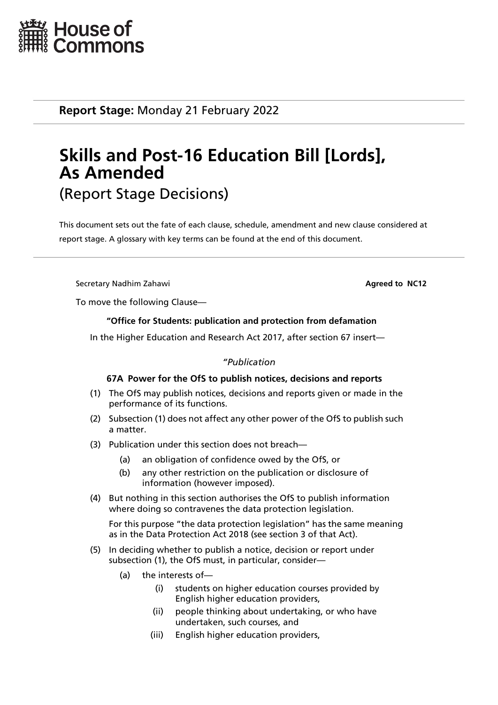

**Report Stage:** Monday 21 February 2022

# **Skills and Post-16 Education Bill [Lords], As Amended** (Report Stage Decisions)

This document sets out the fate of each clause, schedule, amendment and new clause considered at report stage. A glossary with key terms can be found at the end of this document.

**Secretary Nadhim Zahawi Agreed to NC12 Agreed to NC12** 

To move the following Clause—

# **"Office for Students: publication and protection from defamation**

In the Higher Education and Research Act 2017, after section 67 insert—

# *"Publication*

# **67A Power for the OfS to publish notices, decisions and reports**

- (1) The OfS may publish notices, decisions and reports given or made in the performance of its functions.
- (2) Subsection (1) does not affect any other power of the OfS to publish such a matter.
- (3) Publication under this section does not breach—
	- (a) an obligation of confidence owed by the OfS, or
	- (b) any other restriction on the publication or disclosure of information (however imposed).
- (4) But nothing in this section authorises the OfS to publish information where doing so contravenes the data protection legislation.

For this purpose "the data protection legislation" has the same meaning as in the Data Protection Act 2018 (see section 3 of that Act).

- (5) In deciding whether to publish a notice, decision or report under subsection (1), the OfS must, in particular, consider—
	- (a) the interests of—
		- (i) students on higher education courses provided by English higher education providers,
		- (ii) people thinking about undertaking, or who have undertaken, such courses, and
		- (iii) English higher education providers,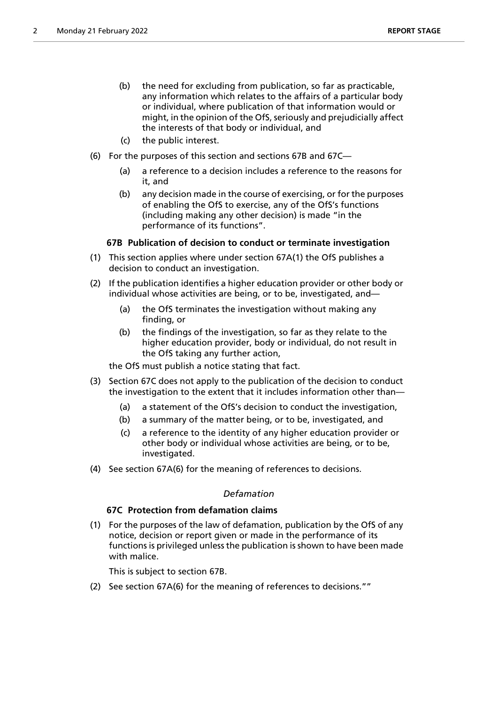- (b) the need for excluding from publication, so far as practicable, any information which relates to the affairs of a particular body or individual, where publication of that information would or might, in the opinion of the OfS, seriously and prejudicially affect the interests of that body or individual, and
- (c) the public interest.
- (6) For the purposes of this section and sections 67B and 67C—
	- (a) a reference to a decision includes a reference to the reasons for it, and
	- (b) any decision made in the course of exercising, or for the purposes of enabling the OfS to exercise, any of the OfS's functions (including making any other decision) is made "in the performance of its functions".

# **67B Publication of decision to conduct or terminate investigation**

- (1) This section applies where under section 67A(1) the OfS publishes a decision to conduct an investigation.
- (2) If the publication identifies a higher education provider or other body or individual whose activities are being, or to be, investigated, and—
	- (a) the OfS terminates the investigation without making any finding, or
	- (b) the findings of the investigation, so far as they relate to the higher education provider, body or individual, do not result in the OfS taking any further action,

the OfS must publish a notice stating that fact.

- (3) Section 67C does not apply to the publication of the decision to conduct the investigation to the extent that it includes information other than—
	- (a) a statement of the OfS's decision to conduct the investigation,
	- (b) a summary of the matter being, or to be, investigated, and
	- (c) a reference to the identity of any higher education provider or other body or individual whose activities are being, or to be, investigated.
- (4) See section 67A(6) for the meaning of references to decisions.

## *Defamation*

## **67C Protection from defamation claims**

(1) For the purposes of the law of defamation, publication by the OfS of any notice, decision or report given or made in the performance of its functions is privileged unless the publication is shown to have been made with malice.

This is subject to section 67B.

(2) See section 67A(6) for the meaning of references to decisions.""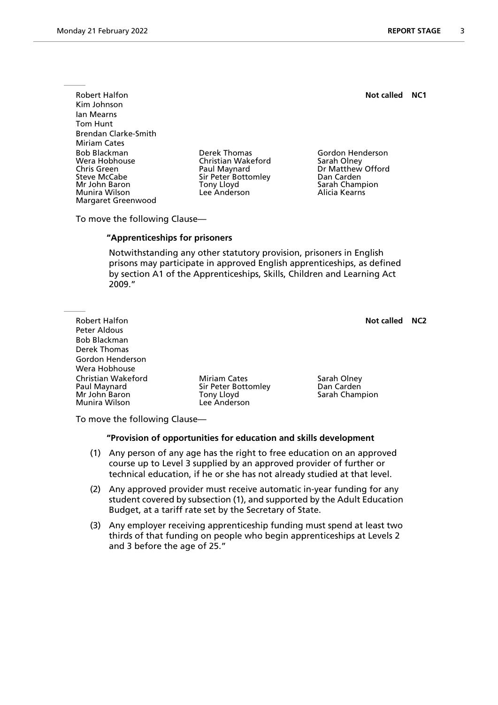Robert Halfon **Not called NC1** Kim Johnson Ian Mearns Tom Hunt Brendan Clarke-Smith Miriam Cates Bob Blackman Derek Thomas Gordon Henderson Wera Hobhouse Christian Wakeford Sarah Olney Chris Green **Paul Maynard** Dr Matthew Offord<br>
Sir Peter Bottomley Dan Carden<br>
Dan Carden Mr John Baron Tony Lloyd Sarah Champion Munira Wilson Margaret Greenwood

Sir Peter Bottomley

To move the following Clause—

## **"Apprenticeships for prisoners**

 Notwithstanding any other statutory provision, prisoners in English prisons may participate in approved English apprenticeships, as defined by section A1 of the Apprenticeships, Skills, Children and Learning Act 2009."

Robert Halfon **Not called NC2** Peter Aldous Bob Blackman Derek Thomas Gordon Henderson Wera Hobhouse Christian Wakeford **Miriam Cates** Sarah Olney<br>
Paul Maynard **Miriam Cates** Sir Peter Bottomley **San Carden** Paul Maynard Sir Peter Bottomley<br>
Mr John Baron Saron Tony Lloyd Mr John Baron Tony Lloyd Sarah Champion Lee Anderson

To move the following Clause—

#### **"Provision of opportunities for education and skills development**

- (1) Any person of any age has the right to free education on an approved course up to Level 3 supplied by an approved provider of further or technical education, if he or she has not already studied at that level.
- (2) Any approved provider must receive automatic in-year funding for any student covered by subsection (1), and supported by the Adult Education Budget, at a tariff rate set by the Secretary of State.
- (3) Any employer receiving apprenticeship funding must spend at least two thirds of that funding on people who begin apprenticeships at Levels 2 and 3 before the age of 25."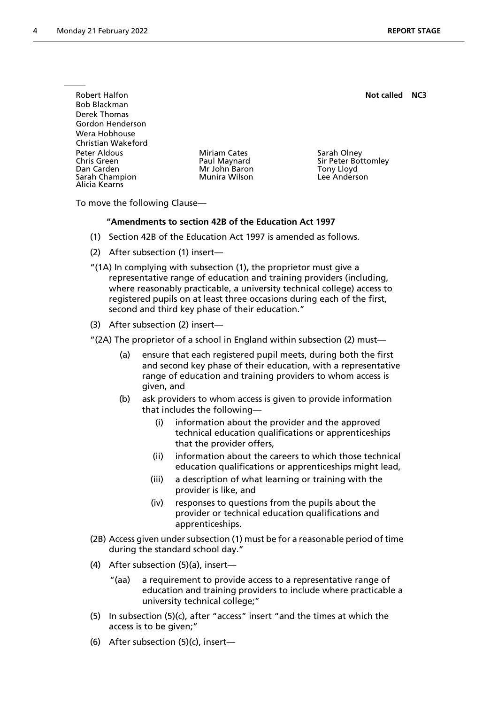Robert Halfon **Not called NC3 Not called NC3** Bob Blackman Derek Thomas Gordon Henderson Wera Hobhouse Christian Wakeford Peter Aldous **Miriam Cates** Sarah Olney Chris Green The Paul Maynard Sir Peter Bottomley<br>
Dan Carden The Sir Peter Bottomley<br>
Mr John Baron The Sir Peter Bottomley Mr John Baron Tony Lloyd<br>1991 - Munira Wilson Tomas Lee Anderson Sarah Champion Alicia Kearns

To move the following Clause—

## **"Amendments to section 42B of the Education Act 1997**

- (1) Section 42B of the Education Act 1997 is amended as follows.
- (2) After subsection (1) insert—
- "(1A) In complying with subsection (1), the proprietor must give a representative range of education and training providers (including, where reasonably practicable, a university technical college) access to registered pupils on at least three occasions during each of the first, second and third key phase of their education."
- (3) After subsection (2) insert—
- "(2A) The proprietor of a school in England within subsection (2) must—
	- (a) ensure that each registered pupil meets, during both the first and second key phase of their education, with a representative range of education and training providers to whom access is given, and
	- (b) ask providers to whom access is given to provide information that includes the following
		- information about the provider and the approved technical education qualifications or apprenticeships that the provider offers,
		- (ii) information about the careers to which those technical education qualifications or apprenticeships might lead,
		- (iii) a description of what learning or training with the provider is like, and
		- (iv) responses to questions from the pupils about the provider or technical education qualifications and apprenticeships.
- (2B) Access given under subsection (1) must be for a reasonable period of time during the standard school day."
- (4) After subsection (5)(a), insert—
	- "(aa) a requirement to provide access to a representative range of education and training providers to include where practicable a university technical college;"
- (5) In subsection (5)(c), after "access" insert "and the times at which the access is to be given;"
- (6) After subsection (5)(c), insert—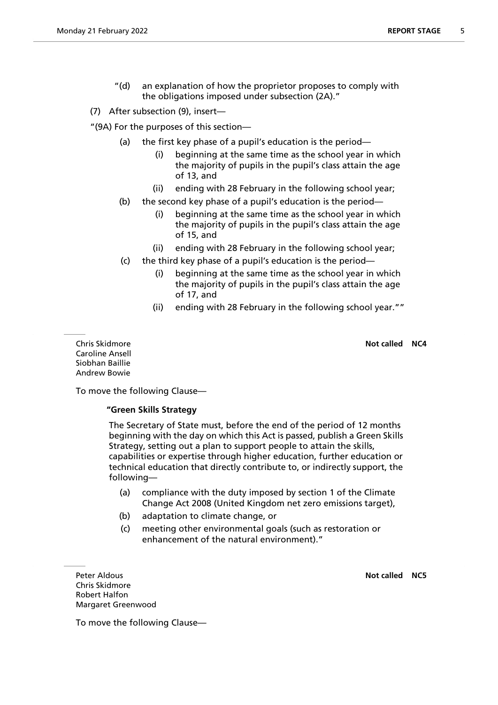"(d) an explanation of how the proprietor proposes to comply with the obligations imposed under subsection (2A)."

(7) After subsection (9), insert—

"(9A) For the purposes of this section—

- (a) the first key phase of a pupil's education is the period—
	- (i) beginning at the same time as the school year in which the majority of pupils in the pupil's class attain the age of 13, and
	- (ii) ending with 28 February in the following school year;
- (b) the second key phase of a pupil's education is the period—
	- (i) beginning at the same time as the school year in which the majority of pupils in the pupil's class attain the age of 15, and
	- (ii) ending with 28 February in the following school year;
- (c) the third key phase of a pupil's education is the period—
	- (i) beginning at the same time as the school year in which the majority of pupils in the pupil's class attain the age of 17, and
	- (ii) ending with 28 February in the following school year.""

Caroline Ansell Siobhan Baillie Andrew Bowie

Chris Skidmore **Not called NC4**

To move the following Clause—

# **"Green Skills Strategy**

 The Secretary of State must, before the end of the period of 12 months beginning with the day on which this Act is passed, publish a Green Skills Strategy, setting out a plan to support people to attain the skills, capabilities or expertise through higher education, further education or technical education that directly contribute to, or indirectly support, the following—

- (a) compliance with the duty imposed by section 1 of the Climate Change Act 2008 (United Kingdom net zero emissions target),
- (b) adaptation to climate change, or
- (c) meeting other environmental goals (such as restoration or enhancement of the natural environment)."

**Peter Aldous Not called NC5** Chris Skidmore Robert Halfon Margaret Greenwood

To move the following Clause—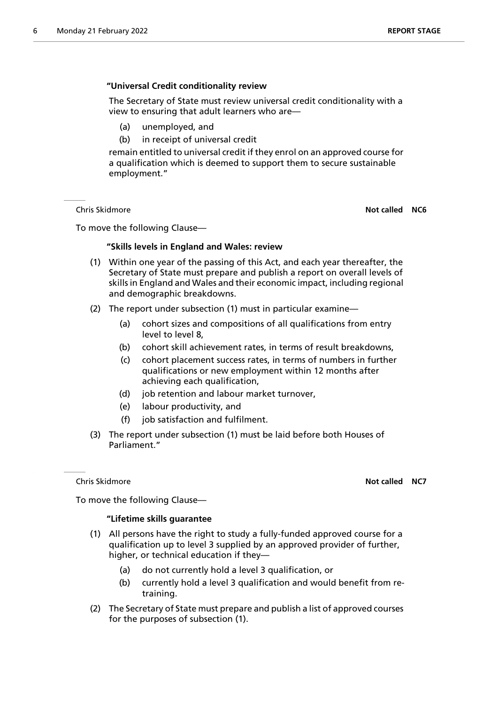# **"Universal Credit conditionality review**

 The Secretary of State must review universal credit conditionality with a view to ensuring that adult learners who are—

- (a) unemployed, and
- (b) in receipt of universal credit

remain entitled to universal credit if they enrol on an approved course for a qualification which is deemed to support them to secure sustainable employment."

Chris Skidmore **Not called NC6**

To move the following Clause—

# **"Skills levels in England and Wales: review**

- (1) Within one year of the passing of this Act, and each year thereafter, the Secretary of State must prepare and publish a report on overall levels of skills in England and Wales and their economic impact, including regional and demographic breakdowns.
- (2) The report under subsection (1) must in particular examine—
	- (a) cohort sizes and compositions of all qualifications from entry level to level 8,
	- (b) cohort skill achievement rates, in terms of result breakdowns,
	- (c) cohort placement success rates, in terms of numbers in further qualifications or new employment within 12 months after achieving each qualification,
	- (d) job retention and labour market turnover,
	- (e) labour productivity, and
	- (f) job satisfaction and fulfilment.
- (3) The report under subsection (1) must be laid before both Houses of Parliament."

#### Chris Skidmore **Not called NC7**

To move the following Clause—

# **"Lifetime skills guarantee**

- (1) All persons have the right to study a fully-funded approved course for a qualification up to level 3 supplied by an approved provider of further, higher, or technical education if they—
	- (a) do not currently hold a level 3 qualification, or
	- (b) currently hold a level 3 qualification and would benefit from retraining.
- (2) The Secretary of State must prepare and publish a list of approved courses for the purposes of subsection (1).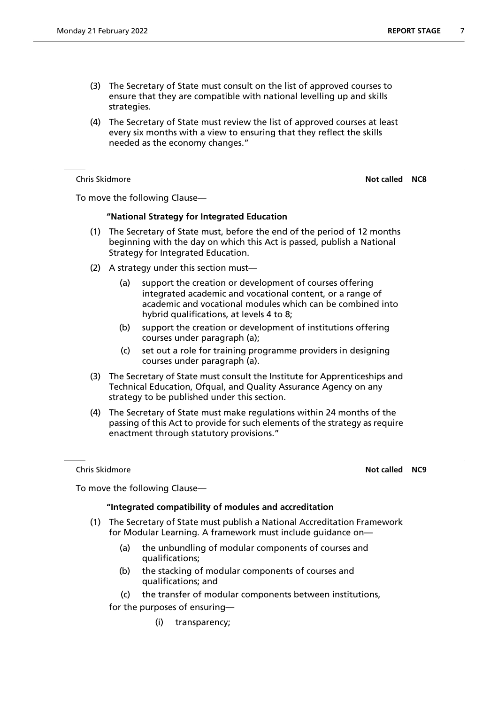- (3) The Secretary of State must consult on the list of approved courses to ensure that they are compatible with national levelling up and skills strategies.
- (4) The Secretary of State must review the list of approved courses at least every six months with a view to ensuring that they reflect the skills needed as the economy changes."

Chris Skidmore **Not called NC8**

To move the following Clause—

# **"National Strategy for Integrated Education**

- (1) The Secretary of State must, before the end of the period of 12 months beginning with the day on which this Act is passed, publish a National Strategy for Integrated Education.
- (2) A strategy under this section must—
	- (a) support the creation or development of courses offering integrated academic and vocational content, or a range of academic and vocational modules which can be combined into hybrid qualifications, at levels 4 to 8;
	- (b) support the creation or development of institutions offering courses under paragraph (a);
	- (c) set out a role for training programme providers in designing courses under paragraph (a).
- (3) The Secretary of State must consult the Institute for Apprenticeships and Technical Education, Ofqual, and Quality Assurance Agency on any strategy to be published under this section.
- (4) The Secretary of State must make regulations within 24 months of the passing of this Act to provide for such elements of the strategy as require enactment through statutory provisions."

Chris Skidmore **Not called NC9**

To move the following Clause—

# **"Integrated compatibility of modules and accreditation**

- (1) The Secretary of State must publish a National Accreditation Framework for Modular Learning. A framework must include guidance on—
	- (a) the unbundling of modular components of courses and qualifications;
	- (b) the stacking of modular components of courses and qualifications; and
	- (c) the transfer of modular components between institutions,

for the purposes of ensuring—

(i) transparency;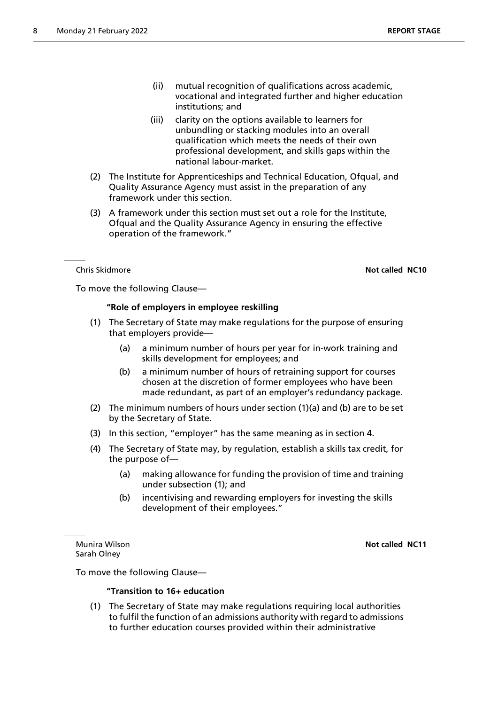- (iii) clarity on the options available to learners for unbundling or stacking modules into an overall qualification which meets the needs of their own professional development, and skills gaps within the national labour-market.
- (2) The Institute for Apprenticeships and Technical Education, Ofqual, and Quality Assurance Agency must assist in the preparation of any framework under this section.
- (3) A framework under this section must set out a role for the Institute, Ofqual and the Quality Assurance Agency in ensuring the effective operation of the framework."

Chris Skidmore **Not called NC10**

To move the following Clause—

# **"Role of employers in employee reskilling**

- (1) The Secretary of State may make regulations for the purpose of ensuring that employers provide—
	- (a) a minimum number of hours per year for in-work training and skills development for employees; and
	- (b) a minimum number of hours of retraining support for courses chosen at the discretion of former employees who have been made redundant, as part of an employer's redundancy package.
- (2) The minimum numbers of hours under section (1)(a) and (b) are to be set by the Secretary of State.
- (3) In this section, "employer" has the same meaning as in section 4.
- (4) The Secretary of State may, by regulation, establish a skills tax credit, for the purpose of—
	- (a) making allowance for funding the provision of time and training under subsection (1); and
	- (b) incentivising and rewarding employers for investing the skills development of their employees."

Sarah Olney

Munira Wilson **Not called NC11**

To move the following Clause—

# **"Transition to 16+ education**

(1) The Secretary of State may make regulations requiring local authorities to fulfil the function of an admissions authority with regard to admissions to further education courses provided within their administrative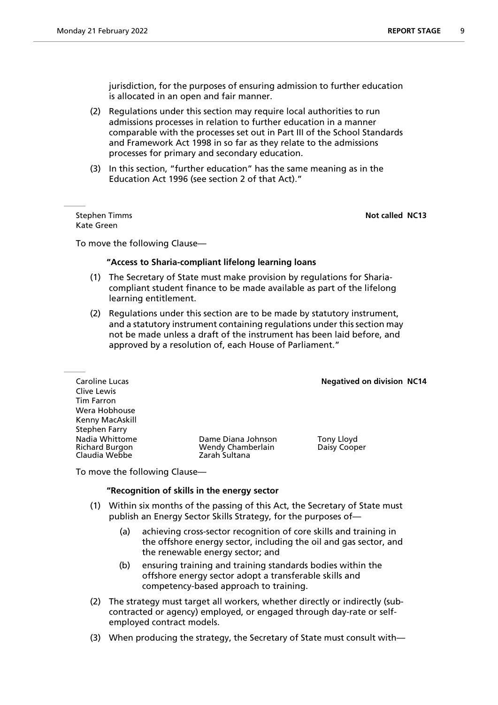jurisdiction, for the purposes of ensuring admission to further education is allocated in an open and fair manner.

- (2) Regulations under this section may require local authorities to run admissions processes in relation to further education in a manner comparable with the processes set out in Part III of the School Standards and Framework Act 1998 in so far as they relate to the admissions processes for primary and secondary education.
- (3) In this section, "further education" has the same meaning as in the Education Act 1996 (see section 2 of that Act)."

Kate Green

**Stephen Timms Not called NC13** 

To move the following Clause—

#### **"Access to Sharia-compliant lifelong learning loans**

- (1) The Secretary of State must make provision by regulations for Shariacompliant student finance to be made available as part of the lifelong learning entitlement.
- (2) Regulations under this section are to be made by statutory instrument, and a statutory instrument containing regulations under this section may not be made unless a draft of the instrument has been laid before, and approved by a resolution of, each House of Parliament."

**Caroline Lucas Negatived on division NC14** 

Clive Lewis Tim Farron Wera Hobhouse Kenny MacAskill Stephen Farry Claudia Webbe

Nadia Whittome Dame Diana Johnson Tony Lloyd Wendy Chamberlain<br>Zarah Sultana

To move the following Clause—

## **"Recognition of skills in the energy sector**

- (1) Within six months of the passing of this Act, the Secretary of State must publish an Energy Sector Skills Strategy, for the purposes of—
	- (a) achieving cross-sector recognition of core skills and training in the offshore energy sector, including the oil and gas sector, and the renewable energy sector; and
	- (b) ensuring training and training standards bodies within the offshore energy sector adopt a transferable skills and competency-based approach to training.
- (2) The strategy must target all workers, whether directly or indirectly (subcontracted or agency) employed, or engaged through day-rate or selfemployed contract models.
- (3) When producing the strategy, the Secretary of State must consult with—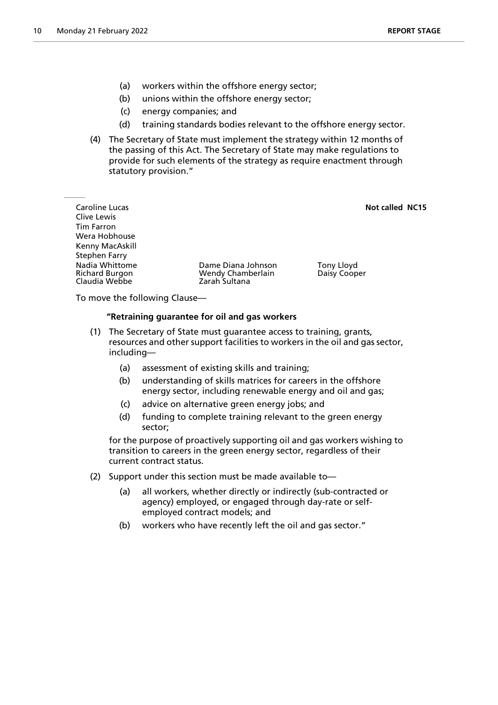- (a) workers within the offshore energy sector;
- (b) unions within the offshore energy sector;
- (c) energy companies; and
- (d) training standards bodies relevant to the offshore energy sector.
- (4) The Secretary of State must implement the strategy within 12 months of the passing of this Act. The Secretary of State may make regulations to provide for such elements of the strategy as require enactment through statutory provision."

**Caroline Lucas Not called NC15** Clive Lewis Tim Farron Wera Hobhouse Kenny MacAskill Stephen Farry Nadia Whittome **Dame Diana Johnson** Tony Lloyd<br>Richard Burgon **Numberlain** Daisy Coop Wendy Chamberlain Francis Daisy Cooper<br>Tarah Sultana Claudia Webbe

To move the following Clause—

## **"Retraining guarantee for oil and gas workers**

- (1) The Secretary of State must guarantee access to training, grants, resources and other support facilities to workers in the oil and gas sector, including—
	- (a) assessment of existing skills and training;
	- (b) understanding of skills matrices for careers in the offshore energy sector, including renewable energy and oil and gas;
	- (c) advice on alternative green energy jobs; and
	- (d) funding to complete training relevant to the green energy sector;

for the purpose of proactively supporting oil and gas workers wishing to transition to careers in the green energy sector, regardless of their current contract status.

- (2) Support under this section must be made available to—
	- (a) all workers, whether directly or indirectly (sub-contracted or agency) employed, or engaged through day-rate or selfemployed contract models; and
	- (b) workers who have recently left the oil and gas sector."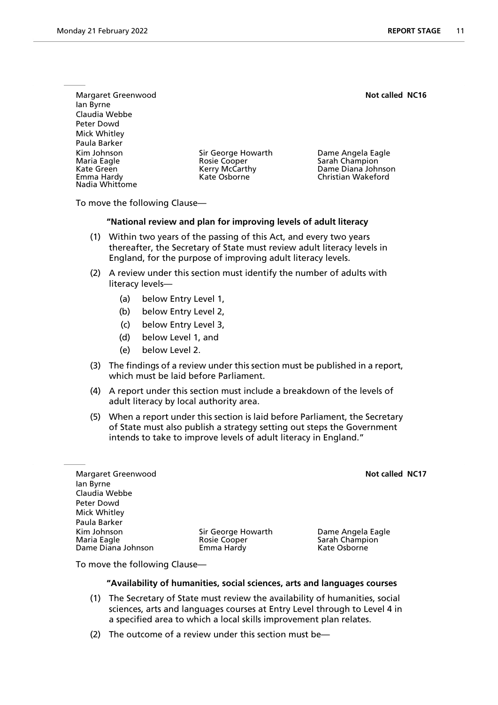Margaret Greenwood **Not called NC16 Not called NC16** Ian Byrne Claudia Webbe Peter Dowd Mick Whitley Paula Barker Kim Johnson Sir George Howarth Dame Angela Eagle Maria Eagle Rosie Cooper Sarah Champion Kate Green Kerry McCarthy Dame Diana Johnson Nadia Whittome

Christian Wakeford

To move the following Clause—

## **"National review and plan for improving levels of adult literacy**

- (1) Within two years of the passing of this Act, and every two years thereafter, the Secretary of State must review adult literacy levels in England, for the purpose of improving adult literacy levels.
- (2) A review under this section must identify the number of adults with literacy levels—
	- (a) below Entry Level 1,
	- (b) below Entry Level 2,
	- (c) below Entry Level 3,
	- (d) below Level 1, and
	- (e) below Level 2.
- (3) The findings of a review under this section must be published in a report, which must be laid before Parliament.
- (4) A report under this section must include a breakdown of the levels of adult literacy by local authority area.
- (5) When a report under this section is laid before Parliament, the Secretary of State must also publish a strategy setting out steps the Government intends to take to improve levels of adult literacy in England."

Margaret Greenwood **Not called NC17 Not called NC17** Ian Byrne Claudia Webbe Peter Dowd Mick Whitley Paula Barker Kim Johnson Sir George Howarth Dame Angela Eagle Dame Diana Johnson

Rosie Cooper Sarah Champion<br>
Emma Hardy Sarah Champion<br>
Kate Osborne

To move the following Clause—

## **"Availability of humanities, social sciences, arts and languages courses**

- (1) The Secretary of State must review the availability of humanities, social sciences, arts and languages courses at Entry Level through to Level 4 in a specified area to which a local skills improvement plan relates.
- (2) The outcome of a review under this section must be—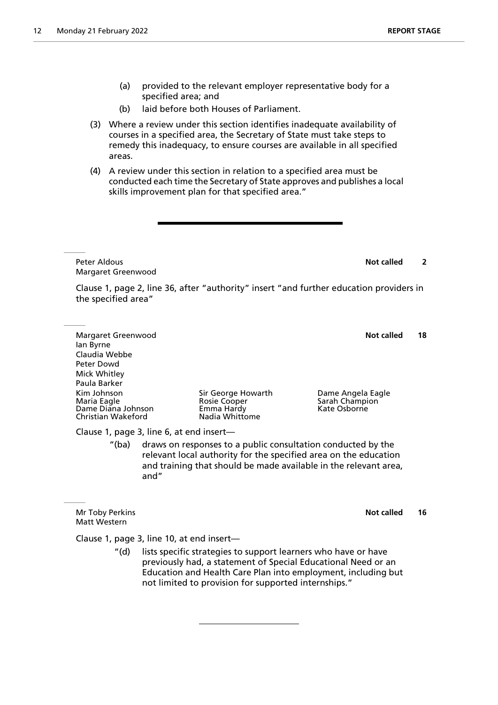- (a) provided to the relevant employer representative body for a specified area; and
- (b) laid before both Houses of Parliament.
- (3) Where a review under this section identifies inadequate availability of courses in a specified area, the Secretary of State must take steps to remedy this inadequacy, to ensure courses are available in all specified areas.
- (4) A review under this section in relation to a specified area must be conducted each time the Secretary of State approves and publishes a local skills improvement plan for that specified area."

**Peter Aldous Not called** 2 Margaret Greenwood

Clause 1, page 2, line 36, after "authority" insert "and further education providers in the specified area"

Margaret Greenwood **Not called 18** Ian Byrne Claudia Webbe Peter Dowd Mick Whitley Paula Barker Kim Johnson Sir George Howarth Dame Angela Eagle Rosie Cooper Sarah Champion<br>1988 - Eagle Rose Champion<br>1988 - Kate Osborne Dame Diana Johnson Emma Hardy Kate Osborne Christian Wakeford Clause 1, page 3, line 6, at end insert—

"(ba) draws on responses to a public consultation conducted by the relevant local authority for the specified area on the education and training that should be made available in the relevant area, and"

Mr Toby Perkins **Not called** 16 Matt Western

Clause 1, page 3, line 10, at end insert—

"(d) lists specific strategies to support learners who have or have previously had, a statement of Special Educational Need or an Education and Health Care Plan into employment, including but not limited to provision for supported internships."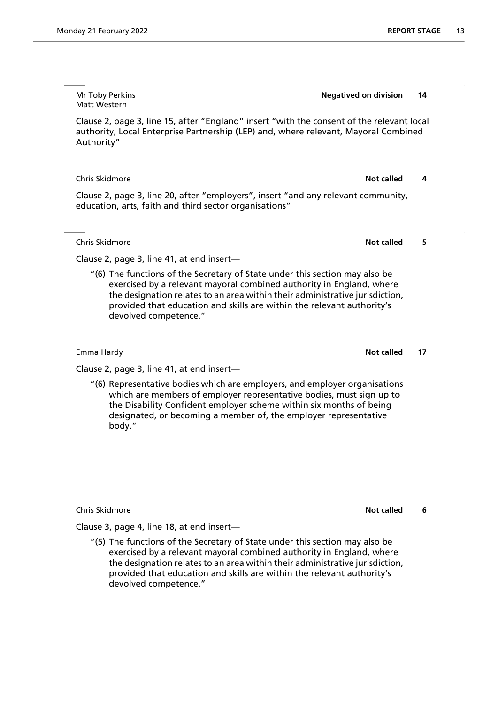Matt Western Clause 2, page 3, line 15, after "England" insert "with the consent of the relevant local authority, Local Enterprise Partnership (LEP) and, where relevant, Mayoral Combined

Mr Toby Perkins **Negatived on division 14**

**Chris Skidmore Not called 4 Not called 4 Not called 4** Clause 2, page 3, line 20, after "employers", insert "and any relevant community,

education, arts, faith and third sector organisations"

**Chris Skidmore Not called** 5

Authority"

Clause 2, page 3, line 41, at end insert—

"(6) The functions of the Secretary of State under this section may also be exercised by a relevant mayoral combined authority in England, where the designation relates to an area within their administrative jurisdiction, provided that education and skills are within the relevant authority's devolved competence."

Emma Hardy **Notice 2018 Notice 2018 Notice 2018 Notice 2018 Notice 2018 Notice 2018 Notice 2018 Notice 2018** 

Clause 2, page 3, line 41, at end insert—

"(6) Representative bodies which are employers, and employer organisations which are members of employer representative bodies, must sign up to the Disability Confident employer scheme within six months of being designated, or becoming a member of, the employer representative body."

**Chris Skidmore Not called** 6

Clause 3, page 4, line 18, at end insert—

"(5) The functions of the Secretary of State under this section may also be exercised by a relevant mayoral combined authority in England, where the designation relates to an area within their administrative jurisdiction, provided that education and skills are within the relevant authority's devolved competence."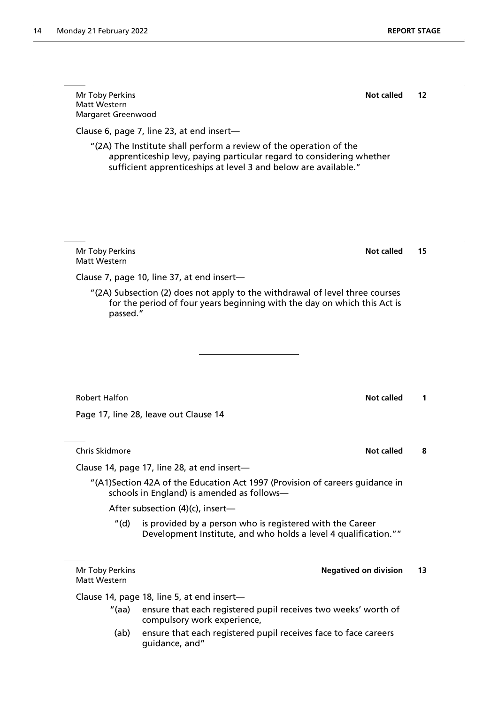**Mr Toby Perkins <b>Not called** 12 Matt Western Margaret Greenwood Clause 6, page 7, line 23, at end insert— "(2A) The Institute shall perform a review of the operation of the apprenticeship levy, paying particular regard to considering whether sufficient apprenticeships at level 3 and below are available." **Mr Toby Perkins 15 Mr Toby Perkins 15** Matt Western Clause 7, page 10, line 37, at end insert— "(2A) Subsection (2) does not apply to the withdrawal of level three courses for the period of four years beginning with the day on which this Act is passed." Robert Halfon **Note 2** and 2 and 2 and 2 and 2 and 2 and 2 and 2 and 2 and 2 and 2 and 2 and 2 and 2 and 2 and 2 and 2 and 2 and 2 and 2 and 2 and 2 and 2 and 2 and 2 and 2 and 2 and 2 and 2 and 2 and 2 and 2 and 2 and 2 a Page 17, line 28, leave out Clause 14 **Chris Skidmore Not called 8** Clause 14, page 17, line 28, at end insert— "(A1)Section 42A of the Education Act 1997 (Provision of careers guidance in schools in England) is amended as follows— After subsection (4)(c), insert— "(d) is provided by a person who is registered with the Career Development Institute, and who holds a level 4 qualification."" Mr Toby Perkins **Negatived on division 13** Matt Western Clause 14, page 18, line 5, at end insert—

- "(aa) ensure that each registered pupil receives two weeks' worth of compulsory work experience,
- (ab) ensure that each registered pupil receives face to face careers guidance, and"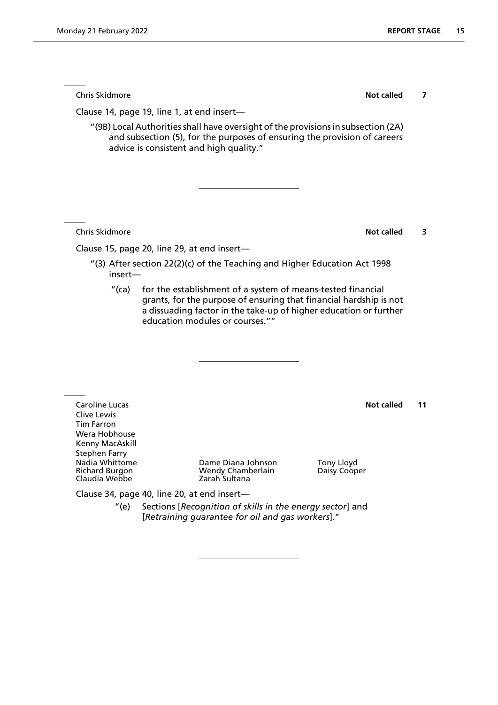**Chris Skidmore Not called 7** 

Clause 14, page 19, line 1, at end insert—

"(9B) Local Authorities shall have oversight of the provisions in subsection (2A) and subsection (5), for the purposes of ensuring the provision of careers advice is consistent and high quality."

**Chris Skidmore Not called** 3

Clause 15, page 20, line 29, at end insert—

- "(3) After section 22(2)(c) of the Teaching and Higher Education Act 1998 insert—
	- "(ca) for the establishment of a system of means-tested financial grants, for the purpose of ensuring that financial hardship is not a dissuading factor in the take-up of higher education or further education modules or courses.""

**Caroline Lucas Not called 11** Clive Lewis Tim Farron Wera Hobhouse Kenny MacAskill Stephen Farry Claudia Webbe

Nadia Whittome Dame Diana Johnson Tony Lloyd Wendy Chamberlain<br>Zarah Sultana

Clause 34, page 40, line 20, at end insert—

"(e) Sections [*Recognition of skills in the energy sector*] and [*Retraining guarantee for oil and gas workers*]."